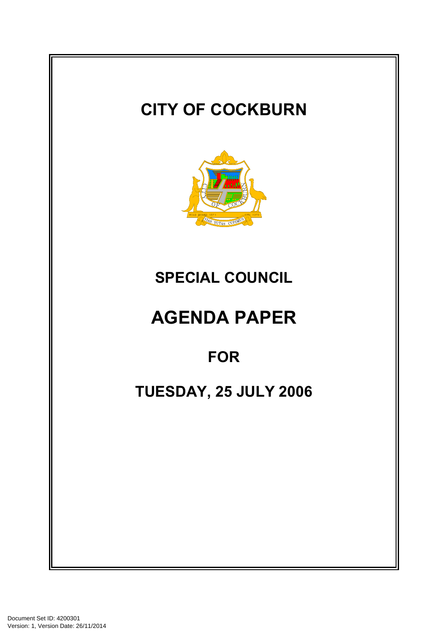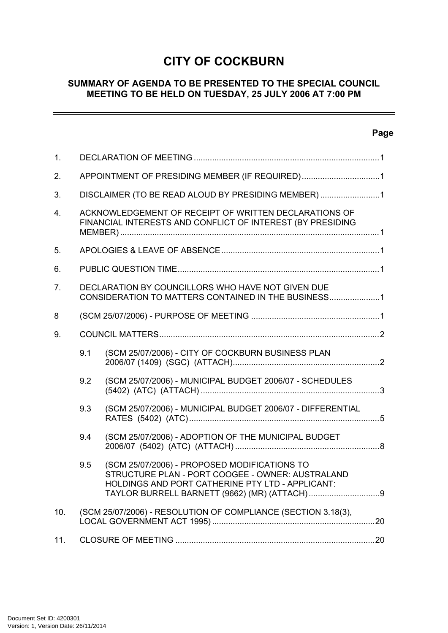# **CITY OF COCKBURN**

### **SUMMARY OF AGENDA TO BE PRESENTED TO THE SPECIAL COUNCIL MEETING TO BE HELD ON TUESDAY, 25 JULY 2006 AT 7:00 PM**

# **Page**

 $\equiv$ 

| 1.             |                                                                                                                     |                                                                                                                                                      |  |
|----------------|---------------------------------------------------------------------------------------------------------------------|------------------------------------------------------------------------------------------------------------------------------------------------------|--|
| 2.             | APPOINTMENT OF PRESIDING MEMBER (IF REQUIRED)1                                                                      |                                                                                                                                                      |  |
| 3.             | DISCLAIMER (TO BE READ ALOUD BY PRESIDING MEMBER)1                                                                  |                                                                                                                                                      |  |
| 4.             | ACKNOWLEDGEMENT OF RECEIPT OF WRITTEN DECLARATIONS OF<br>FINANCIAL INTERESTS AND CONFLICT OF INTEREST (BY PRESIDING |                                                                                                                                                      |  |
| 5.             |                                                                                                                     |                                                                                                                                                      |  |
| 6.             |                                                                                                                     |                                                                                                                                                      |  |
| 7 <sub>1</sub> | DECLARATION BY COUNCILLORS WHO HAVE NOT GIVEN DUE<br>CONSIDERATION TO MATTERS CONTAINED IN THE BUSINESS1            |                                                                                                                                                      |  |
| 8              |                                                                                                                     |                                                                                                                                                      |  |
| 9.             |                                                                                                                     |                                                                                                                                                      |  |
|                | 9.1                                                                                                                 | (SCM 25/07/2006) - CITY OF COCKBURN BUSINESS PLAN                                                                                                    |  |
|                | 9.2                                                                                                                 | (SCM 25/07/2006) - MUNICIPAL BUDGET 2006/07 - SCHEDULES                                                                                              |  |
|                | 9.3                                                                                                                 | (SCM 25/07/2006) - MUNICIPAL BUDGET 2006/07 - DIFFERENTIAL                                                                                           |  |
|                | 9.4                                                                                                                 | (SCM 25/07/2006) - ADOPTION OF THE MUNICIPAL BUDGET                                                                                                  |  |
|                | 9.5                                                                                                                 | (SCM 25/07/2006) - PROPOSED MODIFICATIONS TO<br>STRUCTURE PLAN - PORT COOGEE - OWNER: AUSTRALAND<br>HOLDINGS AND PORT CATHERINE PTY LTD - APPLICANT: |  |
| 10.            | (SCM 25/07/2006) - RESOLUTION OF COMPLIANCE (SECTION 3.18(3),                                                       |                                                                                                                                                      |  |
| 11.            |                                                                                                                     |                                                                                                                                                      |  |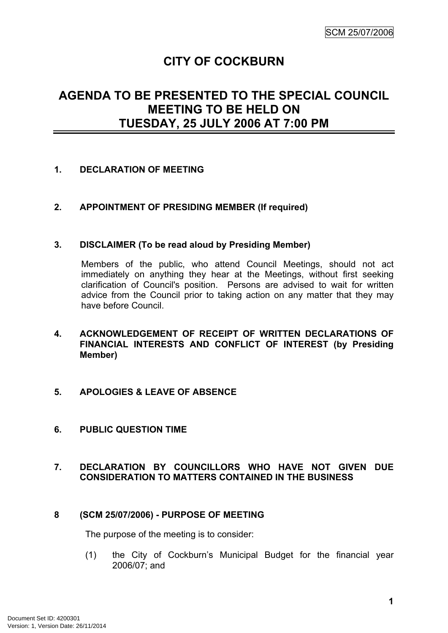# **CITY OF COCKBURN**

# **AGENDA TO BE PRESENTED TO THE SPECIAL COUNCIL MEETING TO BE HELD ON TUESDAY, 25 JULY 2006 AT 7:00 PM**

### <span id="page-2-0"></span>**1. DECLARATION OF MEETING**

### <span id="page-2-1"></span>**2. APPOINTMENT OF PRESIDING MEMBER (If required)**

### <span id="page-2-2"></span>**3. DISCLAIMER (To be read aloud by Presiding Member)**

Members of the public, who attend Council Meetings, should not act immediately on anything they hear at the Meetings, without first seeking clarification of Council's position. Persons are advised to wait for written advice from the Council prior to taking action on any matter that they may have before Council.

- <span id="page-2-3"></span>**4. ACKNOWLEDGEMENT OF RECEIPT OF WRITTEN DECLARATIONS OF FINANCIAL INTERESTS AND CONFLICT OF INTEREST (by Presiding Member)**
- <span id="page-2-4"></span>**5. APOLOGIES & LEAVE OF ABSENCE**
- <span id="page-2-5"></span>**6. PUBLIC QUESTION TIME**

## <span id="page-2-6"></span>**7. DECLARATION BY COUNCILLORS WHO HAVE NOT GIVEN DUE CONSIDERATION TO MATTERS CONTAINED IN THE BUSINESS**

### <span id="page-2-7"></span>**8 (SCM 25/07/2006) - PURPOSE OF MEETING**

The purpose of the meeting is to consider:

(1) the City of Cockburn's Municipal Budget for the financial year 2006/07; and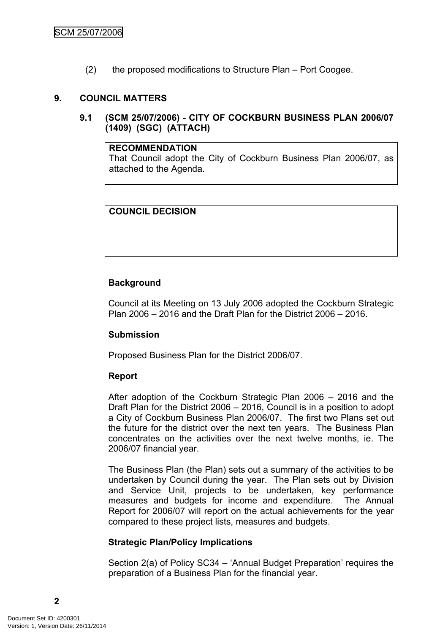(2) the proposed modifications to Structure Plan – Port Coogee.

### <span id="page-3-0"></span>**9. COUNCIL MATTERS**

<span id="page-3-1"></span>**9.1 (SCM 25/07/2006) - CITY OF COCKBURN BUSINESS PLAN 2006/07 (1409) (SGC) (ATTACH)**

#### **RECOMMENDATION**

That Council adopt the City of Cockburn Business Plan 2006/07, as attached to the Agenda.

### **COUNCIL DECISION**

### **Background**

Council at its Meeting on 13 July 2006 adopted the Cockburn Strategic Plan 2006 – 2016 and the Draft Plan for the District 2006 – 2016.

### **Submission**

Proposed Business Plan for the District 2006/07.

#### **Report**

After adoption of the Cockburn Strategic Plan 2006 – 2016 and the Draft Plan for the District 2006 – 2016, Council is in a position to adopt a City of Cockburn Business Plan 2006/07. The first two Plans set out the future for the district over the next ten years. The Business Plan concentrates on the activities over the next twelve months, ie. The 2006/07 financial year.

The Business Plan (the Plan) sets out a summary of the activities to be undertaken by Council during the year. The Plan sets out by Division and Service Unit, projects to be undertaken, key performance measures and budgets for income and expenditure. The Annual Report for 2006/07 will report on the actual achievements for the year compared to these project lists, measures and budgets.

### **Strategic Plan/Policy Implications**

Section 2(a) of Policy SC34 – 'Annual Budget Preparation' requires the preparation of a Business Plan for the financial year.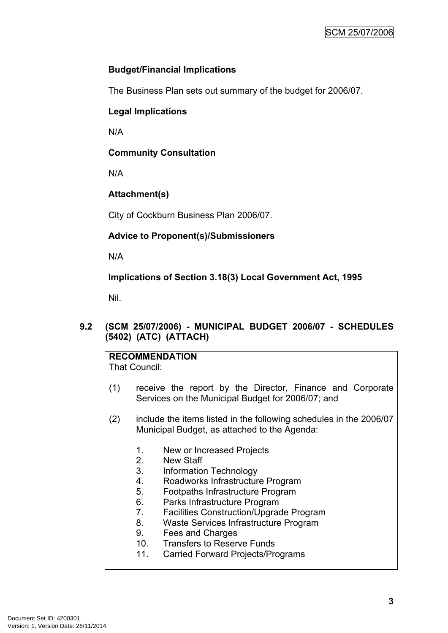# **Budget/Financial Implications**

The Business Plan sets out summary of the budget for 2006/07.

# **Legal Implications**

N/A

# **Community Consultation**

N/A

# **Attachment(s)**

City of Cockburn Business Plan 2006/07.

# **Advice to Proponent(s)/Submissioners**

N/A

# **Implications of Section 3.18(3) Local Government Act, 1995**

Nil.

### <span id="page-4-0"></span>**9.2 (SCM 25/07/2006) - MUNICIPAL BUDGET 2006/07 - SCHEDULES (5402) (ATC) (ATTACH)**

**RECOMMENDATION** That Council:

- (1) receive the report by the Director, Finance and Corporate Services on the Municipal Budget for 2006/07; and
- (2) include the items listed in the following schedules in the 2006/07 Municipal Budget, as attached to the Agenda:
	- 1. New or Increased Projects
	- 2. New Staff
	- 3. Information Technology
	- 4. Roadworks Infrastructure Program
	- 5. Footpaths Infrastructure Program
	- 6. Parks Infrastructure Program
	- 7. Facilities Construction/Upgrade Program
	- 8. Waste Services Infrastructure Program
	- 9. Fees and Charges
	- 10. Transfers to Reserve Funds
	- 11. Carried Forward Projects/Programs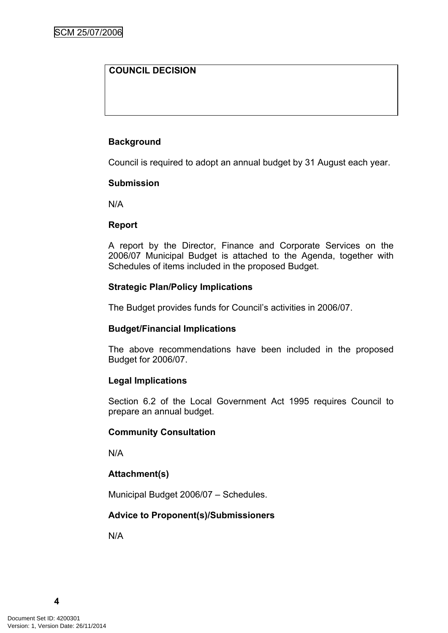## **COUNCIL DECISION**

### **Background**

Council is required to adopt an annual budget by 31 August each year.

### **Submission**

N/A

### **Report**

A report by the Director, Finance and Corporate Services on the 2006/07 Municipal Budget is attached to the Agenda, together with Schedules of items included in the proposed Budget.

### **Strategic Plan/Policy Implications**

The Budget provides funds for Council's activities in 2006/07.

### **Budget/Financial Implications**

The above recommendations have been included in the proposed Budget for 2006/07.

### **Legal Implications**

Section 6.2 of the Local Government Act 1995 requires Council to prepare an annual budget.

### **Community Consultation**

N/A

## **Attachment(s)**

Municipal Budget 2006/07 – Schedules.

### **Advice to Proponent(s)/Submissioners**

N/A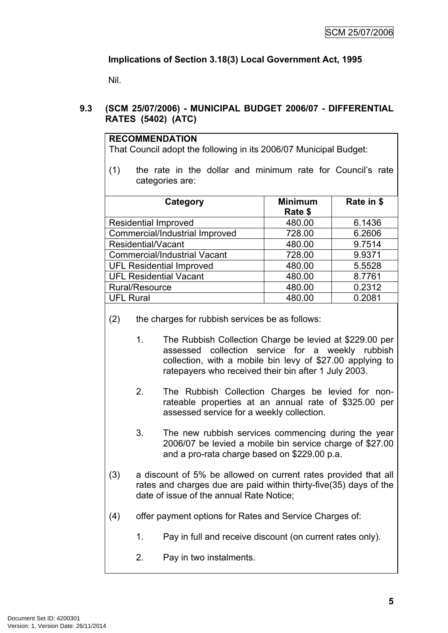# **Implications of Section 3.18(3) Local Government Act, 1995**

Nil.

## <span id="page-6-0"></span>**9.3 (SCM 25/07/2006) - MUNICIPAL BUDGET 2006/07 - DIFFERENTIAL RATES (5402) (ATC)**

| <b>RECOMMENDATION</b>                                             |
|-------------------------------------------------------------------|
| That Council adopt the following in its 2006/07 Municipal Budget: |

(1) the rate in the dollar and minimum rate for Council's rate categories are:

| Category                            | <b>Minimum</b><br>Rate \$ | Rate in \$ |
|-------------------------------------|---------------------------|------------|
| <b>Residential Improved</b>         | 480.00                    | 6.1436     |
| Commercial/Industrial Improved      | 728.00                    | 6.2606     |
| Residential/Vacant                  | 480.00                    | 9.7514     |
| <b>Commercial/Industrial Vacant</b> | 728.00                    | 9.9371     |
| <b>UFL Residential Improved</b>     | 480.00                    | 5.5528     |
| <b>UFL Residential Vacant</b>       | 480.00                    | 8.7761     |
| Rural/Resource                      | 480.00                    | 0.2312     |
| <b>UFL Rural</b>                    | 480.00                    | 0.2081     |

- (2) the charges for rubbish services be as follows:
	- 1. The Rubbish Collection Charge be levied at \$229.00 per assessed collection service for a weekly rubbish collection, with a mobile bin levy of \$27.00 applying to ratepayers who received their bin after 1 July 2003.
	- 2. The Rubbish Collection Charges be levied for nonrateable properties at an annual rate of \$325.00 per assessed service for a weekly collection.
	- 3. The new rubbish services commencing during the year 2006/07 be levied a mobile bin service charge of \$27.00 and a pro-rata charge based on \$229.00 p.a.
- (3) a discount of 5% be allowed on current rates provided that all rates and charges due are paid within thirty-five(35) days of the date of issue of the annual Rate Notice;
- (4) offer payment options for Rates and Service Charges of:
	- 1. Pay in full and receive discount (on current rates only).
	- 2. Pay in two instalments.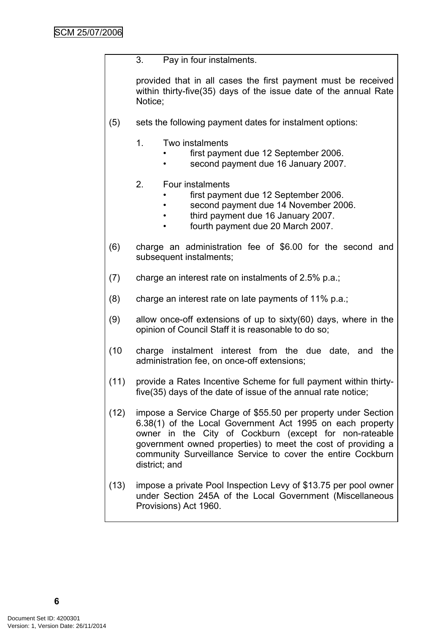3. Pay in four instalments.

provided that in all cases the first payment must be received within thirty-five(35) days of the issue date of the annual Rate Notice;

- (5) sets the following payment dates for instalment options:
	- 1. Two instalments
		- first payment due 12 September 2006.
		- second payment due 16 January 2007.
	- 2. Four instalments
		- first payment due 12 September 2006.
		- second payment due 14 November 2006.
		- third payment due 16 January 2007.
		- fourth payment due 20 March 2007.
- (6) charge an administration fee of \$6.00 for the second and subsequent instalments;
- (7) charge an interest rate on instalments of 2.5% p.a.;
- (8) charge an interest rate on late payments of 11% p.a.;
- (9) allow once-off extensions of up to sixty(60) days, where in the opinion of Council Staff it is reasonable to do so;
- (10 charge instalment interest from the due date, and the administration fee, on once-off extensions;
- (11) provide a Rates Incentive Scheme for full payment within thirtyfive(35) days of the date of issue of the annual rate notice;
- (12) impose a Service Charge of \$55.50 per property under Section 6.38(1) of the Local Government Act 1995 on each property owner in the City of Cockburn (except for non-rateable government owned properties) to meet the cost of providing a community Surveillance Service to cover the entire Cockburn district; and
- (13) impose a private Pool Inspection Levy of \$13.75 per pool owner under Section 245A of the Local Government (Miscellaneous Provisions) Act 1960.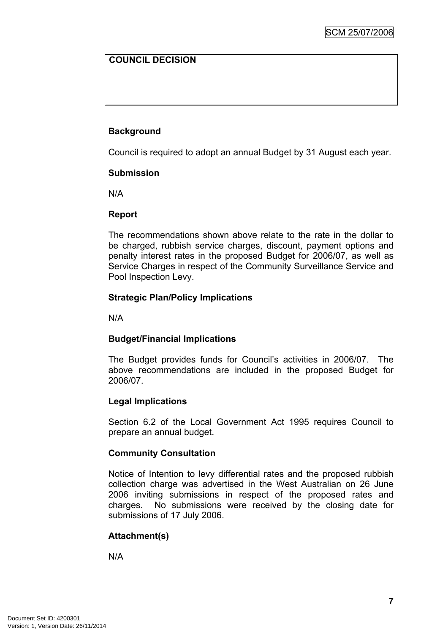## **COUNCIL DECISION**

### **Background**

Council is required to adopt an annual Budget by 31 August each year.

### **Submission**

N/A

### **Report**

The recommendations shown above relate to the rate in the dollar to be charged, rubbish service charges, discount, payment options and penalty interest rates in the proposed Budget for 2006/07, as well as Service Charges in respect of the Community Surveillance Service and Pool Inspection Levy.

### **Strategic Plan/Policy Implications**

N/A

### **Budget/Financial Implications**

The Budget provides funds for Council's activities in 2006/07. The above recommendations are included in the proposed Budget for 2006/07.

#### **Legal Implications**

Section 6.2 of the Local Government Act 1995 requires Council to prepare an annual budget.

#### **Community Consultation**

Notice of Intention to levy differential rates and the proposed rubbish collection charge was advertised in the West Australian on 26 June 2006 inviting submissions in respect of the proposed rates and charges. No submissions were received by the closing date for submissions of 17 July 2006.

### **Attachment(s)**

N/A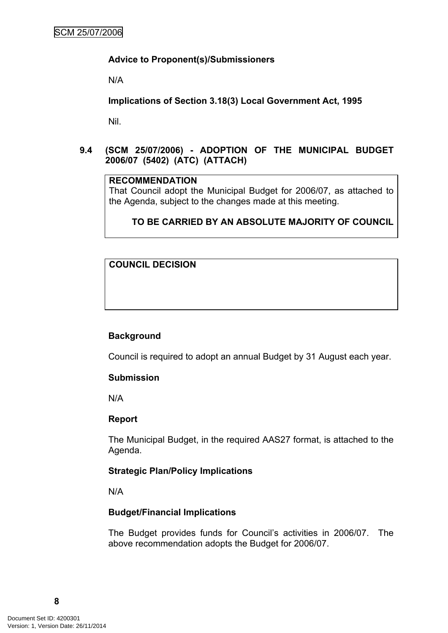### **Advice to Proponent(s)/Submissioners**

N/A

**Implications of Section 3.18(3) Local Government Act, 1995**

Nil.

<span id="page-9-0"></span>**9.4 (SCM 25/07/2006) - ADOPTION OF THE MUNICIPAL BUDGET 2006/07 (5402) (ATC) (ATTACH)**

### **RECOMMENDATION**

That Council adopt the Municipal Budget for 2006/07, as attached to the Agenda, subject to the changes made at this meeting.

# **TO BE CARRIED BY AN ABSOLUTE MAJORITY OF COUNCIL**

**COUNCIL DECISION**

### **Background**

Council is required to adopt an annual Budget by 31 August each year.

### **Submission**

N/A

### **Report**

The Municipal Budget, in the required AAS27 format, is attached to the Agenda.

### **Strategic Plan/Policy Implications**

N/A

## **Budget/Financial Implications**

The Budget provides funds for Council's activities in 2006/07. The above recommendation adopts the Budget for 2006/07.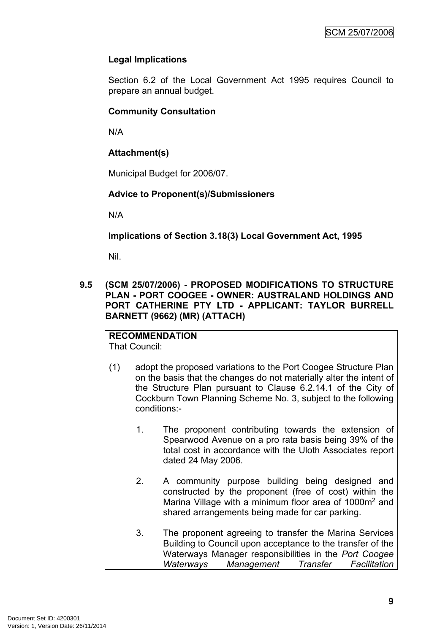# **Legal Implications**

Section 6.2 of the Local Government Act 1995 requires Council to prepare an annual budget.

# **Community Consultation**

N/A

# **Attachment(s)**

Municipal Budget for 2006/07.

# **Advice to Proponent(s)/Submissioners**

N/A

**Implications of Section 3.18(3) Local Government Act, 1995**

Nil.

<span id="page-10-0"></span>**9.5 (SCM 25/07/2006) - PROPOSED MODIFICATIONS TO STRUCTURE PLAN - PORT COOGEE - OWNER: AUSTRALAND HOLDINGS AND PORT CATHERINE PTY LTD - APPLICANT: TAYLOR BURRELL BARNETT (9662) (MR) (ATTACH)**

#### **RECOMMENDATION** That Council:

- (1) adopt the proposed variations to the Port Coogee Structure Plan on the basis that the changes do not materially alter the intent of the Structure Plan pursuant to Clause 6.2.14.1 of the City of Cockburn Town Planning Scheme No. 3, subject to the following conditions:-
	- 1. The proponent contributing towards the extension of Spearwood Avenue on a pro rata basis being 39% of the total cost in accordance with the Uloth Associates report dated 24 May 2006.
	- 2. A community purpose building being designed and constructed by the proponent (free of cost) within the Marina Village with a minimum floor area of 1000m<sup>2</sup> and shared arrangements being made for car parking.
	- 3. The proponent agreeing to transfer the Marina Services Building to Council upon acceptance to the transfer of the Waterways Manager responsibilities in the *Port Coogee Waterways Management Transfer Facilitation*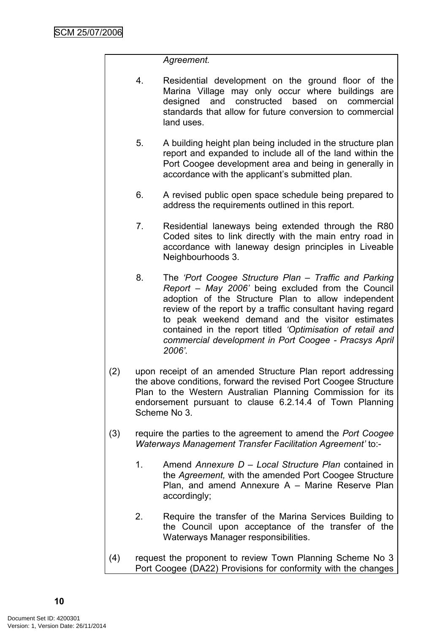### *Agreement.*

- 4. Residential development on the ground floor of the Marina Village may only occur where buildings are designed and constructed based on commercial standards that allow for future conversion to commercial land uses.
- 5. A building height plan being included in the structure plan report and expanded to include all of the land within the Port Coogee development area and being in generally in accordance with the applicant's submitted plan.
- 6. A revised public open space schedule being prepared to address the requirements outlined in this report.
- 7. Residential laneways being extended through the R80 Coded sites to link directly with the main entry road in accordance with laneway design principles in Liveable Neighbourhoods 3.
- 8. The *'Port Coogee Structure Plan – Traffic and Parking Report – May 2006'* being excluded from the Council adoption of the Structure Plan to allow independent review of the report by a traffic consultant having regard to peak weekend demand and the visitor estimates contained in the report titled *'Optimisation of retail and commercial development in Port Coogee - Pracsys April 2006'.*
- (2) upon receipt of an amended Structure Plan report addressing the above conditions, forward the revised Port Coogee Structure Plan to the Western Australian Planning Commission for its endorsement pursuant to clause 6.2.14.4 of Town Planning Scheme No 3.
- (3) require the parties to the agreement to amend the *Port Coogee Waterways Management Transfer Facilitation Agreement'* to:-
	- 1. Amend *Annexure D – Local Structure Plan* contained in the *Agreement,* with the amended Port Coogee Structure Plan, and amend Annexure A – Marine Reserve Plan accordingly;
	- 2. Require the transfer of the Marina Services Building to the Council upon acceptance of the transfer of the Waterways Manager responsibilities.
- (4) request the proponent to review Town Planning Scheme No 3 Port Coogee (DA22) Provisions for conformity with the changes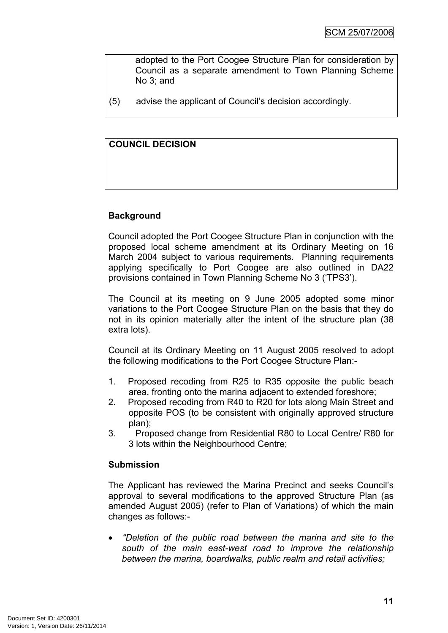adopted to the Port Coogee Structure Plan for consideration by Council as a separate amendment to Town Planning Scheme No 3; and

(5) advise the applicant of Council's decision accordingly.

### **COUNCIL DECISION**

### **Background**

Council adopted the Port Coogee Structure Plan in conjunction with the proposed local scheme amendment at its Ordinary Meeting on 16 March 2004 subject to various requirements. Planning requirements applying specifically to Port Coogee are also outlined in DA22 provisions contained in Town Planning Scheme No 3 ('TPS3').

The Council at its meeting on 9 June 2005 adopted some minor variations to the Port Coogee Structure Plan on the basis that they do not in its opinion materially alter the intent of the structure plan (38 extra lots).

Council at its Ordinary Meeting on 11 August 2005 resolved to adopt the following modifications to the Port Coogee Structure Plan:-

- 1. Proposed recoding from R25 to R35 opposite the public beach area, fronting onto the marina adjacent to extended foreshore;
- 2. Proposed recoding from R40 to R20 for lots along Main Street and opposite POS (to be consistent with originally approved structure plan);
- 3. Proposed change from Residential R80 to Local Centre/ R80 for 3 lots within the Neighbourhood Centre;

### **Submission**

The Applicant has reviewed the Marina Precinct and seeks Council's approval to several modifications to the approved Structure Plan (as amended August 2005) (refer to Plan of Variations) of which the main changes as follows:-

 *"Deletion of the public road between the marina and site to the south of the main east-west road to improve the relationship between the marina, boardwalks, public realm and retail activities;*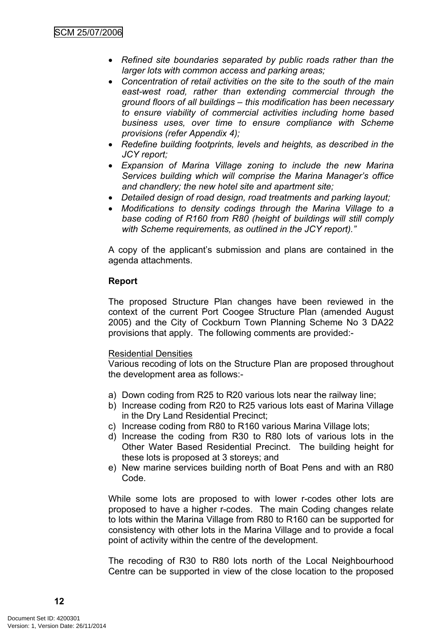- *Refined site boundaries separated by public roads rather than the larger lots with common access and parking areas;*
- *Concentration of retail activities on the site to the south of the main east-west road, rather than extending commercial through the ground floors of all buildings – this modification has been necessary to ensure viability of commercial activities including home based business uses, over time to ensure compliance with Scheme provisions (refer Appendix 4);*
- *Redefine building footprints, levels and heights, as described in the JCY report;*
- *Expansion of Marina Village zoning to include the new Marina Services building which will comprise the Marina Manager's office and chandlery; the new hotel site and apartment site;*
- *Detailed design of road design, road treatments and parking layout;*
- *Modifications to density codings through the Marina Village to a base coding of R160 from R80 (height of buildings will still comply with Scheme requirements, as outlined in the JCY report)."*

A copy of the applicant's submission and plans are contained in the agenda attachments.

### **Report**

The proposed Structure Plan changes have been reviewed in the context of the current Port Coogee Structure Plan (amended August 2005) and the City of Cockburn Town Planning Scheme No 3 DA22 provisions that apply. The following comments are provided:-

### Residential Densities

Various recoding of lots on the Structure Plan are proposed throughout the development area as follows:-

- a) Down coding from R25 to R20 various lots near the railway line;
- b) Increase coding from R20 to R25 various lots east of Marina Village in the Dry Land Residential Precinct;
- c) Increase coding from R80 to R160 various Marina Village lots;
- d) Increase the coding from R30 to R80 lots of various lots in the Other Water Based Residential Precinct. The building height for these lots is proposed at 3 storeys; and
- e) New marine services building north of Boat Pens and with an R80 Code.

While some lots are proposed to with lower r-codes other lots are proposed to have a higher r-codes. The main Coding changes relate to lots within the Marina Village from R80 to R160 can be supported for consistency with other lots in the Marina Village and to provide a focal point of activity within the centre of the development.

The recoding of R30 to R80 lots north of the Local Neighbourhood Centre can be supported in view of the close location to the proposed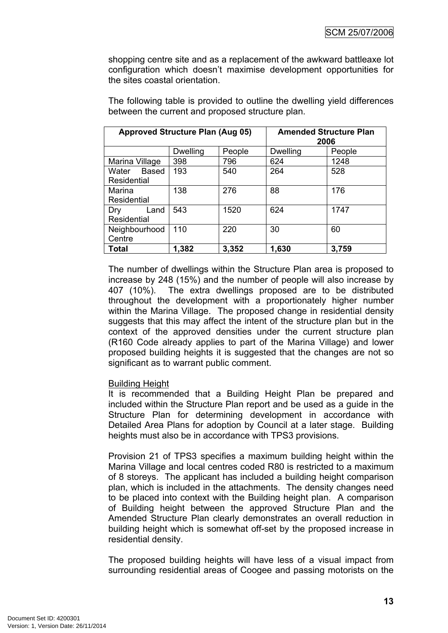shopping centre site and as a replacement of the awkward battleaxe lot configuration which doesn't maximise development opportunities for the sites coastal orientation.

| <b>Approved Structure Plan (Aug 05)</b> |                 | <b>Amended Structure Plan</b><br>2006 |                 |        |
|-----------------------------------------|-----------------|---------------------------------------|-----------------|--------|
|                                         | <b>Dwelling</b> | People                                | <b>Dwelling</b> | People |
| Marina Village                          | 398             | 796                                   | 624             | 1248   |
| Based<br>Water<br>Residential           | 193             | 540                                   | 264             | 528    |
| Marina<br>Residential                   | 138             | 276                                   | 88              | 176    |
| Land<br>Dry<br>Residential              | 543             | 1520                                  | 624             | 1747   |
| Neighbourhood<br>Centre                 | 110             | 220                                   | 30              | 60     |
| Total                                   | 1,382           | 3,352                                 | 1,630           | 3,759  |

The following table is provided to outline the dwelling yield differences between the current and proposed structure plan.

The number of dwellings within the Structure Plan area is proposed to increase by 248 (15%) and the number of people will also increase by 407 (10%). The extra dwellings proposed are to be distributed throughout the development with a proportionately higher number within the Marina Village. The proposed change in residential density suggests that this may affect the intent of the structure plan but in the context of the approved densities under the current structure plan (R160 Code already applies to part of the Marina Village) and lower proposed building heights it is suggested that the changes are not so significant as to warrant public comment.

#### Building Height

It is recommended that a Building Height Plan be prepared and included within the Structure Plan report and be used as a guide in the Structure Plan for determining development in accordance with Detailed Area Plans for adoption by Council at a later stage. Building heights must also be in accordance with TPS3 provisions.

Provision 21 of TPS3 specifies a maximum building height within the Marina Village and local centres coded R80 is restricted to a maximum of 8 storeys. The applicant has included a building height comparison plan, which is included in the attachments. The density changes need to be placed into context with the Building height plan. A comparison of Building height between the approved Structure Plan and the Amended Structure Plan clearly demonstrates an overall reduction in building height which is somewhat off-set by the proposed increase in residential density.

The proposed building heights will have less of a visual impact from surrounding residential areas of Coogee and passing motorists on the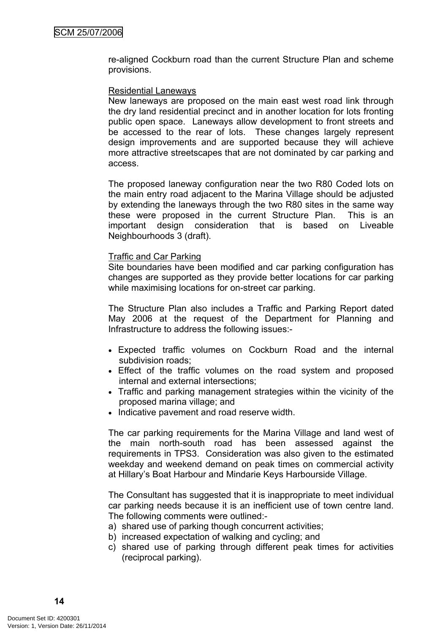re-aligned Cockburn road than the current Structure Plan and scheme provisions.

### Residential Laneways

New laneways are proposed on the main east west road link through the dry land residential precinct and in another location for lots fronting public open space. Laneways allow development to front streets and be accessed to the rear of lots. These changes largely represent design improvements and are supported because they will achieve more attractive streetscapes that are not dominated by car parking and access.

The proposed laneway configuration near the two R80 Coded lots on the main entry road adjacent to the Marina Village should be adjusted by extending the laneways through the two R80 sites in the same way these were proposed in the current Structure Plan. This is an important design consideration that is based on Liveable Neighbourhoods 3 (draft).

#### Traffic and Car Parking

Site boundaries have been modified and car parking configuration has changes are supported as they provide better locations for car parking while maximising locations for on-street car parking.

The Structure Plan also includes a Traffic and Parking Report dated May 2006 at the request of the Department for Planning and Infrastructure to address the following issues:-

- Expected traffic volumes on Cockburn Road and the internal subdivision roads;
- Effect of the traffic volumes on the road system and proposed internal and external intersections;
- Traffic and parking management strategies within the vicinity of the proposed marina village; and
- Indicative pavement and road reserve width.

The car parking requirements for the Marina Village and land west of the main north-south road has been assessed against the requirements in TPS3. Consideration was also given to the estimated weekday and weekend demand on peak times on commercial activity at Hillary's Boat Harbour and Mindarie Keys Harbourside Village.

The Consultant has suggested that it is inappropriate to meet individual car parking needs because it is an inefficient use of town centre land. The following comments were outlined:-

- a) shared use of parking though concurrent activities;
- b) increased expectation of walking and cycling; and
- c) shared use of parking through different peak times for activities (reciprocal parking).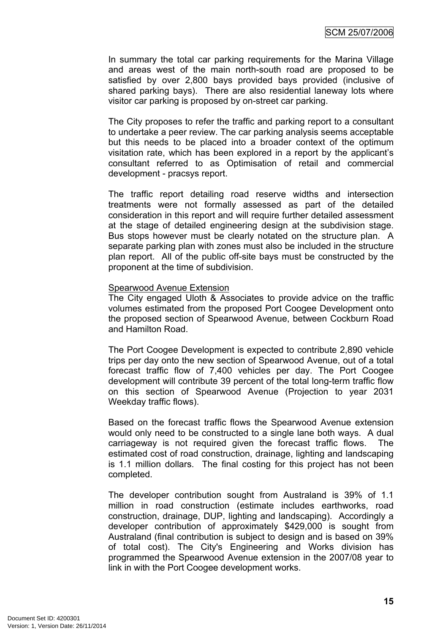In summary the total car parking requirements for the Marina Village and areas west of the main north-south road are proposed to be satisfied by over 2,800 bays provided bays provided (inclusive of shared parking bays). There are also residential laneway lots where visitor car parking is proposed by on-street car parking.

The City proposes to refer the traffic and parking report to a consultant to undertake a peer review. The car parking analysis seems acceptable but this needs to be placed into a broader context of the optimum visitation rate, which has been explored in a report by the applicant's consultant referred to as Optimisation of retail and commercial development - pracsys report.

The traffic report detailing road reserve widths and intersection treatments were not formally assessed as part of the detailed consideration in this report and will require further detailed assessment at the stage of detailed engineering design at the subdivision stage. Bus stops however must be clearly notated on the structure plan. A separate parking plan with zones must also be included in the structure plan report. All of the public off-site bays must be constructed by the proponent at the time of subdivision.

#### Spearwood Avenue Extension

The City engaged Uloth & Associates to provide advice on the traffic volumes estimated from the proposed Port Coogee Development onto the proposed section of Spearwood Avenue, between Cockburn Road and Hamilton Road.

The Port Coogee Development is expected to contribute 2,890 vehicle trips per day onto the new section of Spearwood Avenue, out of a total forecast traffic flow of 7,400 vehicles per day. The Port Coogee development will contribute 39 percent of the total long-term traffic flow on this section of Spearwood Avenue (Projection to year 2031 Weekday traffic flows).

Based on the forecast traffic flows the Spearwood Avenue extension would only need to be constructed to a single lane both ways. A dual carriageway is not required given the forecast traffic flows. The estimated cost of road construction, drainage, lighting and landscaping is 1.1 million dollars. The final costing for this project has not been completed.

The developer contribution sought from Australand is 39% of 1.1 million in road construction (estimate includes earthworks, road construction, drainage, DUP, lighting and landscaping). Accordingly a developer contribution of approximately \$429,000 is sought from Australand (final contribution is subject to design and is based on 39% of total cost). The City's Engineering and Works division has programmed the Spearwood Avenue extension in the 2007/08 year to link in with the Port Coogee development works.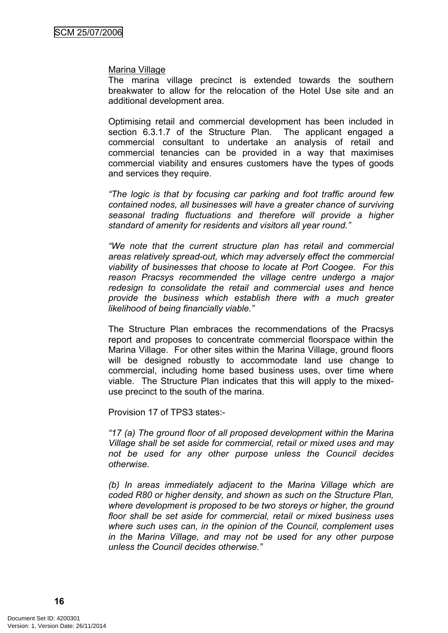#### Marina Village

The marina village precinct is extended towards the southern breakwater to allow for the relocation of the Hotel Use site and an additional development area.

Optimising retail and commercial development has been included in section 6.3.1.7 of the Structure Plan. The applicant engaged a commercial consultant to undertake an analysis of retail and commercial tenancies can be provided in a way that maximises commercial viability and ensures customers have the types of goods and services they require.

*"The logic is that by focusing car parking and foot traffic around few contained nodes, all businesses will have a greater chance of surviving seasonal trading fluctuations and therefore will provide a higher standard of amenity for residents and visitors all year round."*

*"We note that the current structure plan has retail and commercial areas relatively spread-out, which may adversely effect the commercial viability of businesses that choose to locate at Port Coogee. For this reason Pracsys recommended the village centre undergo a major redesign to consolidate the retail and commercial uses and hence provide the business which establish there with a much greater likelihood of being financially viable."*

The Structure Plan embraces the recommendations of the Pracsys report and proposes to concentrate commercial floorspace within the Marina Village. For other sites within the Marina Village, ground floors will be designed robustly to accommodate land use change to commercial, including home based business uses, over time where viable. The Structure Plan indicates that this will apply to the mixeduse precinct to the south of the marina.

Provision 17 of TPS3 states:-

*"17 (a) The ground floor of all proposed development within the Marina Village shall be set aside for commercial, retail or mixed uses and may not be used for any other purpose unless the Council decides otherwise.*

*(b) In areas immediately adjacent to the Marina Village which are coded R80 or higher density, and shown as such on the Structure Plan, where development is proposed to be two storeys or higher, the ground floor shall be set aside for commercial, retail or mixed business uses where such uses can, in the opinion of the Council, complement uses in the Marina Village, and may not be used for any other purpose unless the Council decides otherwise."*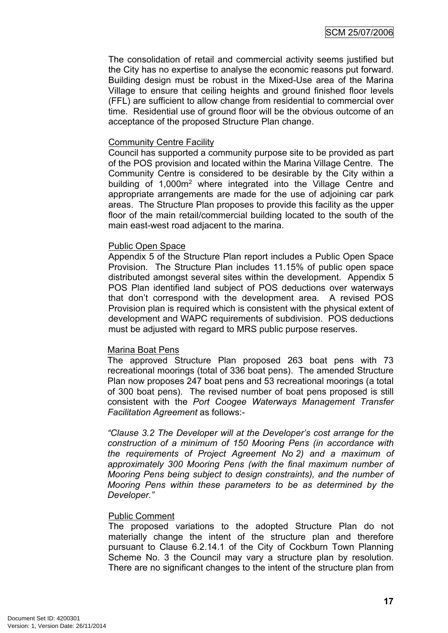The consolidation of retail and commercial activity seems justified but the City has no expertise to analyse the economic reasons put forward. Building design must be robust in the Mixed-Use area of the Marina Village to ensure that ceiling heights and ground finished floor levels (FFL) are sufficient to allow change from residential to commercial over time. Residential use of ground floor will be the obvious outcome of an acceptance of the proposed Structure Plan change.

### Community Centre Facility

Council has supported a community purpose site to be provided as part of the POS provision and located within the Marina Village Centre. The Community Centre is considered to be desirable by the City within a building of 1,000m<sup>2</sup> where integrated into the Village Centre and appropriate arrangements are made for the use of adjoining car park areas. The Structure Plan proposes to provide this facility as the upper floor of the main retail/commercial building located to the south of the main east-west road adjacent to the marina.

### Public Open Space

Appendix 5 of the Structure Plan report includes a Public Open Space Provision. The Structure Plan includes 11.15% of public open space distributed amongst several sites within the development. Appendix 5 POS Plan identified land subject of POS deductions over waterways that don't correspond with the development area. A revised POS Provision plan is required which is consistent with the physical extent of development and WAPC requirements of subdivision. POS deductions must be adjusted with regard to MRS public purpose reserves.

#### Marina Boat Pens

The approved Structure Plan proposed 263 boat pens with 73 recreational moorings (total of 336 boat pens). The amended Structure Plan now proposes 247 boat pens and 53 recreational moorings (a total of 300 boat pens). The revised number of boat pens proposed is still consistent with the *Port Coogee Waterways Management Transfer Facilitation Agreement* as follows:-

*"Clause 3.2 The Developer will at the Developer's cost arrange for the construction of a minimum of 150 Mooring Pens (in accordance with the requirements of Project Agreement No 2) and a maximum of approximately 300 Mooring Pens (with the final maximum number of Mooring Pens being subject to design constraints), and the number of Mooring Pens within these parameters to be as determined by the Developer."*

#### Public Comment

The proposed variations to the adopted Structure Plan do not materially change the intent of the structure plan and therefore pursuant to Clause 6.2.14.1 of the City of Cockburn Town Planning Scheme No. 3 the Council may vary a structure plan by resolution. There are no significant changes to the intent of the structure plan from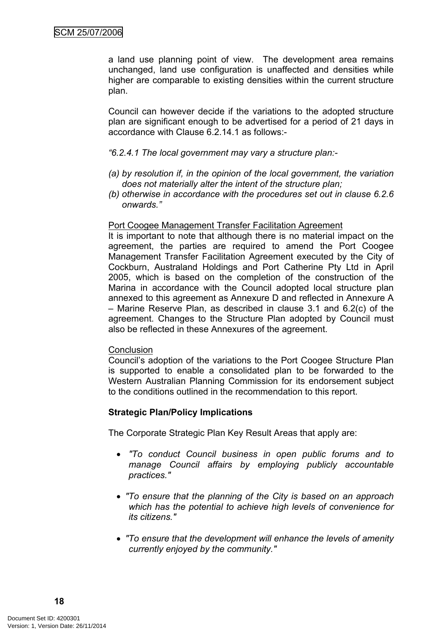a land use planning point of view. The development area remains unchanged, land use configuration is unaffected and densities while higher are comparable to existing densities within the current structure plan.

Council can however decide if the variations to the adopted structure plan are significant enough to be advertised for a period of 21 days in accordance with Clause 6.2.14.1 as follows:-

### *"6.2.4.1 The local government may vary a structure plan:-*

- *(a) by resolution if, in the opinion of the local government, the variation does not materially alter the intent of the structure plan;*
- *(b) otherwise in accordance with the procedures set out in clause 6.2.6 onwards."*

### Port Coogee Management Transfer Facilitation Agreement

It is important to note that although there is no material impact on the agreement, the parties are required to amend the Port Coogee Management Transfer Facilitation Agreement executed by the City of Cockburn, Australand Holdings and Port Catherine Pty Ltd in April 2005, which is based on the completion of the construction of the Marina in accordance with the Council adopted local structure plan annexed to this agreement as Annexure D and reflected in Annexure A – Marine Reserve Plan, as described in clause 3.1 and 6.2(c) of the agreement. Changes to the Structure Plan adopted by Council must also be reflected in these Annexures of the agreement.

#### **Conclusion**

Council's adoption of the variations to the Port Coogee Structure Plan is supported to enable a consolidated plan to be forwarded to the Western Australian Planning Commission for its endorsement subject to the conditions outlined in the recommendation to this report.

### **Strategic Plan/Policy Implications**

The Corporate Strategic Plan Key Result Areas that apply are:

- *"To conduct Council business in open public forums and to manage Council affairs by employing publicly accountable practices."*
- *"To ensure that the planning of the City is based on an approach which has the potential to achieve high levels of convenience for its citizens."*
- *"To ensure that the development will enhance the levels of amenity currently enjoyed by the community."*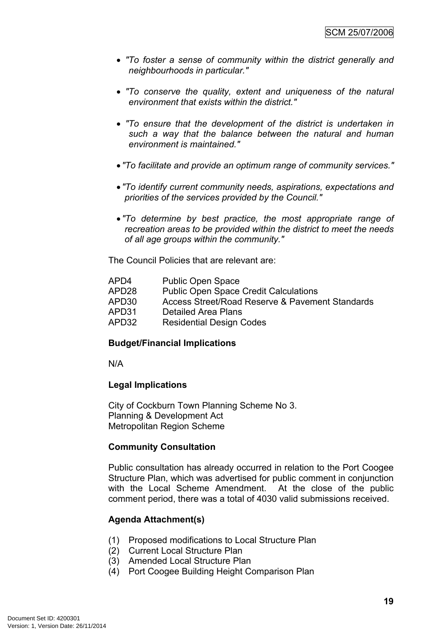- *"To foster a sense of community within the district generally and neighbourhoods in particular."*
- *"To conserve the quality, extent and uniqueness of the natural environment that exists within the district."*
- *"To ensure that the development of the district is undertaken in such a way that the balance between the natural and human environment is maintained."*
- *"To facilitate and provide an optimum range of community services."*
- *"To identify current community needs, aspirations, expectations and priorities of the services provided by the Council."*
- *"To determine by best practice, the most appropriate range of recreation areas to be provided within the district to meet the needs of all age groups within the community."*

The Council Policies that are relevant are:

| APD4  | <b>Public Open Space</b>                        |
|-------|-------------------------------------------------|
| APD28 | <b>Public Open Space Credit Calculations</b>    |
| APD30 | Access Street/Road Reserve & Pavement Standards |
| APD31 | Detailed Area Plans                             |
|       |                                                 |

APD32 Residential Design Codes

### **Budget/Financial Implications**

N/A

#### **Legal Implications**

City of Cockburn Town Planning Scheme No 3. Planning & Development Act Metropolitan Region Scheme

### **Community Consultation**

Public consultation has already occurred in relation to the Port Coogee Structure Plan, which was advertised for public comment in conjunction with the Local Scheme Amendment. At the close of the public comment period, there was a total of 4030 valid submissions received.

### **Agenda Attachment(s)**

- (1) Proposed modifications to Local Structure Plan
- (2) Current Local Structure Plan
- (3) Amended Local Structure Plan
- (4) Port Coogee Building Height Comparison Plan